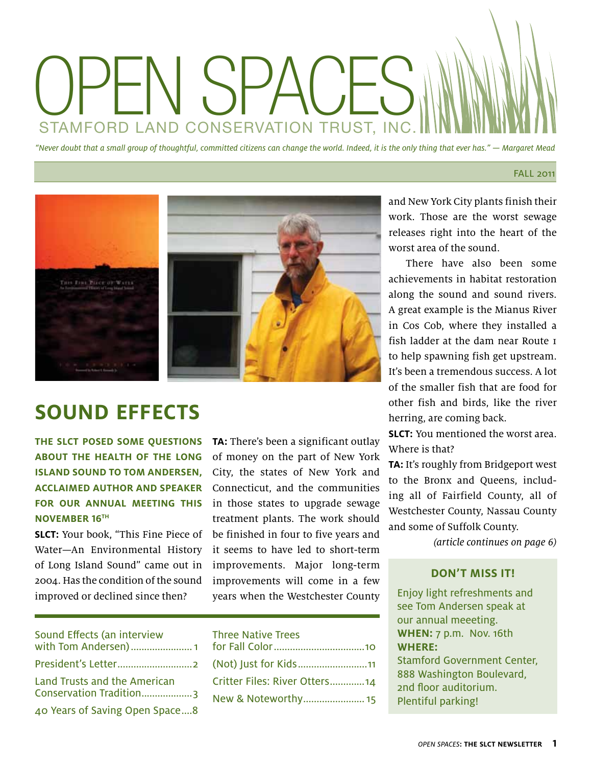## OPEN SPACES STAMFORD LAND CONSERVATION TRUST, INC.

"Never doubt that a small group of thoughtful, committed citizens can change the world. Indeed, it is the only thing that ever has." — Margaret Mead

#### FALL 2011



## **Sound Effects**

**The SLCT posed some questions about the health of the Long Island Sound to Tom Andersen, acclaimed author and speaker for our annual meeting this November 16th**

**SLCT:** Your book, "This Fine Piece of Water—An Environmental History of Long Island Sound" came out in 2004. Has the condition of the sound improved or declined since then?

**TA:** There's been a significant outlay of money on the part of New York City, the states of New York and Connecticut, and the communities in those states to upgrade sewage treatment plants. The work should be finished in four to five years and it seems to have led to short-term improvements. Major long-term improvements will come in a few years when the Westchester County

| Sound Effects (an interview<br>with Tom Andersen) 1     |
|---------------------------------------------------------|
|                                                         |
| Land Trusts and the American<br>Conservation Tradition3 |
| 40 Years of Saving Open Space8                          |

| <b>Three Native Trees</b>     |  |
|-------------------------------|--|
|                               |  |
| (Not) Just for Kids11         |  |
| Critter Files: River Otters14 |  |
| New & Noteworthy 15           |  |

and New York City plants finish their work. Those are the worst sewage releases right into the heart of the worst area of the sound.

There have also been some achievements in habitat restoration along the sound and sound rivers. A great example is the Mianus River in Cos Cob, where they installed a fish ladder at the dam near Route 1 to help spawning fish get upstream. It's been a tremendous success. A lot of the smaller fish that are food for other fish and birds, like the river herring, are coming back.

**SLCT:** You mentioned the worst area. Where is that?

**TA:** It's roughly from Bridgeport west to the Bronx and Queens, including all of Fairfield County, all of Westchester County, Nassau County and some of Suffolk County.

(article continues on page 6)

#### **Don't miss it!**

Enjoy light refreshments and see Tom Andersen speak at our annual meeeting. **When:** 7 p.m. Nov. 16th **Where:** Stamford Government Center, 888 Washington Boulevard, 2nd floor auditorium. Plentiful parking!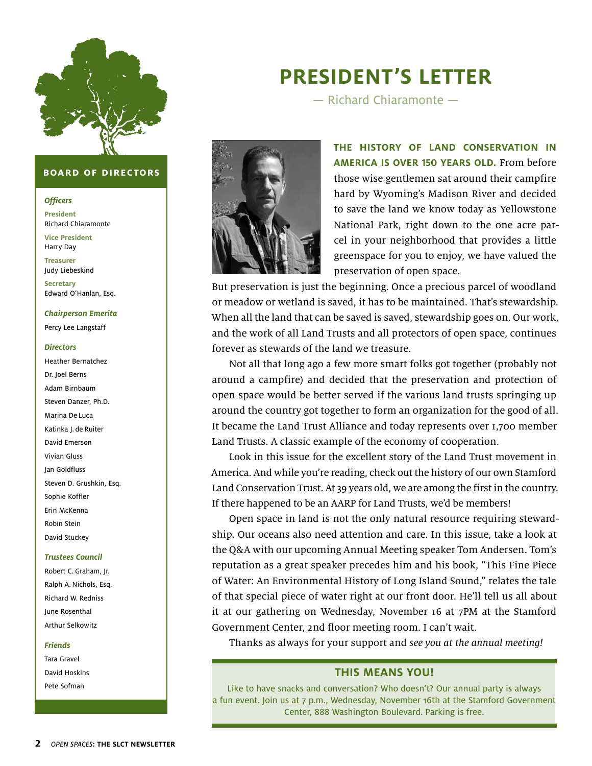

#### **board of directors**

#### **Officers**

**President** Richard Chiaramonte

**Vice President** Harry Day

**Treasurer**  Judy Liebeskind

**Secretary** Edward O'Hanlan, Esq.

#### **Chairperson Emerita**

Percy Lee Langstaff

#### **Directors**

Heather Bernatchez Dr. Joel Berns Adam Birnbaum Steven Danzer, Ph.D. Marina De Luca Katinka J. de Ruiter David Emerson Vivian Gluss Jan Goldfluss Steven D. Grushkin, Esq. Sophie Koffler Erin McKenna Robin Stein David Stuckey

#### **Trustees Council**

Robert C. Graham, Jr. Ralph A. Nichols, Esq. Richard W. Redniss June Rosenthal Arthur Selkowitz

#### **Friends**

Tara Gravel David Hoskins Pete Sofman

## **President's Letter**

— Richard Chiaramonte —



**The history of land conservation in America is over 150 years old.** From before those wise gentlemen sat around their campfire hard by Wyoming's Madison River and decided to save the land we know today as Yellowstone National Park, right down to the one acre parcel in your neighborhood that provides a little greenspace for you to enjoy, we have valued the preservation of open space.

But preservation is just the beginning. Once a precious parcel of woodland or meadow or wetland is saved, it has to be maintained. That's stewardship. When all the land that can be saved is saved, stewardship goes on. Our work, and the work of all Land Trusts and all protectors of open space, continues forever as stewards of the land we treasure.

Not all that long ago a few more smart folks got together (probably not around a campfire) and decided that the preservation and protection of open space would be better served if the various land trusts springing up around the country got together to form an organization for the good of all. It became the Land Trust Alliance and today represents over 1,700 member Land Trusts. A classic example of the economy of cooperation.

Look in this issue for the excellent story of the Land Trust movement in America. And while you're reading, check out the history of our own Stamford Land Conservation Trust. At 39 years old, we are among the first in the country. If there happened to be an AARP for Land Trusts, we'd be members!

Open space in land is not the only natural resource requiring stewardship. Our oceans also need attention and care. In this issue, take a look at the Q&A with our upcoming Annual Meeting speaker Tom Andersen. Tom's reputation as a great speaker precedes him and his book, "This Fine Piece of Water: An Environmental History of Long Island Sound," relates the tale of that special piece of water right at our front door. He'll tell us all about it at our gathering on Wednesday, November 16 at 7PM at the Stamford Government Center, 2nd floor meeting room. I can't wait.

Thanks as always for your support and see you at the annual meeting!

#### **THIS MEANS YOU!**

Like to have snacks and conversation? Who doesn't? Our annual party is always a fun event. Join us at 7 p.m., Wednesday, November 16th at the Stamford Government Center, 888 Washington Boulevard. Parking is free.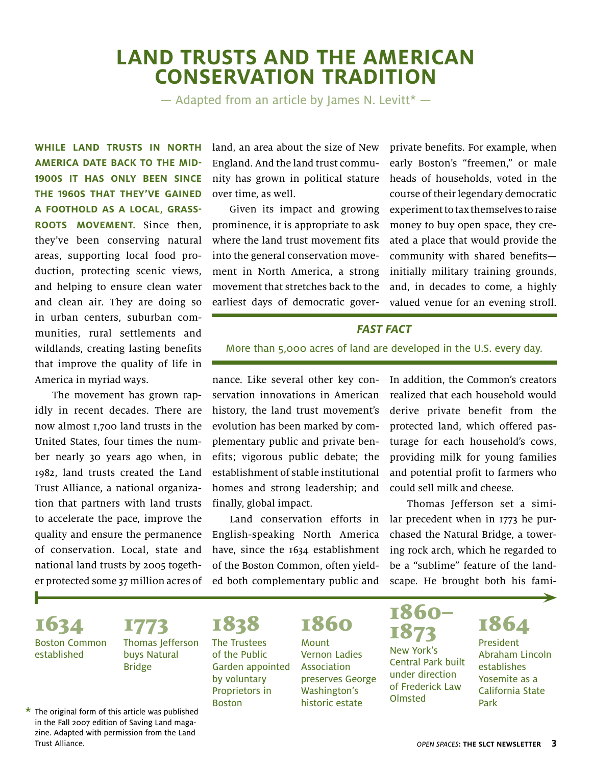## **Land Trusts and The American Conservation Tradition**

 $-$  Adapted from an article by James N. Levitt<sup>\*</sup>  $-$ 

**While land trusts in North America date back to the mid-1900s it has only been since the 1960s that they've gained a foothold as a local, grassroots movement.** Since then, they've been conserving natural areas, supporting local food production, protecting scenic views, and helping to ensure clean water and clean air. They are doing so in urban centers, suburban communities, rural settlements and wildlands, creating lasting benefits that improve the quality of life in America in myriad ways.

The movement has grown rapidly in recent decades. There are now almost 1,700 land trusts in the United States, four times the number nearly 30 years ago when, in 1982, land trusts created the Land Trust Alliance, a national organization that partners with land trusts to accelerate the pace, improve the quality and ensure the permanence of conservation. Local, state and national land trusts by 2005 together protected some 37 million acres of land, an area about the size of New England. And the land trust community has grown in political stature over time, as well.

Given its impact and growing prominence, it is appropriate to ask where the land trust movement fits into the general conservation movement in North America, a strong movement that stretches back to the earliest days of democratic goverprivate benefits. For example, when early Boston's "freemen," or male heads of households, voted in the course of their legendary democratic experiment to tax themselves to raise money to buy open space, they created a place that would provide the community with shared benefits initially military training grounds, and, in decades to come, a highly valued venue for an evening stroll.

#### **fast fact**

More than 5,000 acres of land are developed in the U.S. every day.

nance. Like several other key conservation innovations in American history, the land trust movement's evolution has been marked by complementary public and private benefits; vigorous public debate; the establishment of stable institutional homes and strong leadership; and finally, global impact.

Land conservation efforts in English-speaking North America have, since the 1634 establishment of the Boston Common, often yielded both complementary public and In addition, the Common's creators realized that each household would derive private benefit from the protected land, which offered pasturage for each household's cows, providing milk for young families and potential profit to farmers who could sell milk and cheese.

Thomas Jefferson set a similar precedent when in 1773 he purchased the Natural Bridge, a towering rock arch, which he regarded to be a "sublime" feature of the landscape. He brought both his fami-

1634 Boston Common established

1773 Thomas Jefferson buys Natural Bridge

1838 The Trustees of the Public

Garden appointed by voluntary Proprietors in Boston

1860 Mount Vernon Ladies Association preserves George Washington's historic estate

1860– 1873 New York's Central Park built under direction of Frederick Law Olmsted

## 1864

President Abraham Lincoln establishes Yosemite as a California State Park

▶

 $\star$  The original form of this article was published in the Fall 2007 edition of Saving Land magazine. Adapted with permission from the Land Trust Alliance.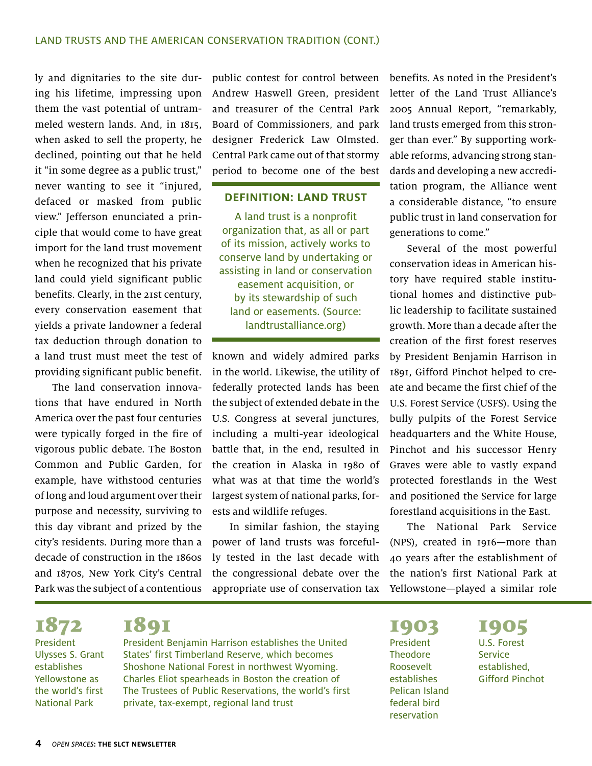ly and dignitaries to the site during his lifetime, impressing upon them the vast potential of untrammeled western lands. And, in 1815, when asked to sell the property, he declined, pointing out that he held it "in some degree as a public trust," never wanting to see it "injured, defaced or masked from public view." Jefferson enunciated a principle that would come to have great import for the land trust movement when he recognized that his private land could yield significant public benefits. Clearly, in the 21st century, every conservation easement that yields a private landowner a federal tax deduction through donation to a land trust must meet the test of providing significant public benefit.

The land conservation innovations that have endured in North America over the past four centuries were typically forged in the fire of vigorous public debate. The Boston Common and Public Garden, for example, have withstood centuries of long and loud argument over their purpose and necessity, surviving to this day vibrant and prized by the city's residents. During more than a decade of construction in the 1860s and 1870s, New York City's Central Park was the subject of a contentious

public contest for control between Andrew Haswell Green, president and treasurer of the Central Park Board of Commissioners, and park designer Frederick Law Olmsted. Central Park came out of that stormy period to become one of the best

#### **Definition: Land Trust**

A land trust is a nonprofit organization that, as all or part of its mission, actively works to conserve land by undertaking or assisting in land or conservation easement acquisition, or by its stewardship of such land or easements. (Source: landtrustalliance.org)

known and widely admired parks in the world. Likewise, the utility of federally protected lands has been the subject of extended debate in the U.S. Congress at several junctures, including a multi-year ideological battle that, in the end, resulted in the creation in Alaska in 1980 of what was at that time the world's largest system of national parks, forests and wildlife refuges.

In similar fashion, the staying power of land trusts was forcefully tested in the last decade with the congressional debate over the appropriate use of conservation tax

benefits. As noted in the President's letter of the Land Trust Alliance's 2005 Annual Report, "remarkably, land trusts emerged from this stronger than ever." By supporting workable reforms, advancing strong standards and developing a new accreditation program, the Alliance went a considerable distance, "to ensure public trust in land conservation for generations to come."

Several of the most powerful conservation ideas in American history have required stable institutional homes and distinctive public leadership to facilitate sustained growth. More than a decade after the creation of the first forest reserves by President Benjamin Harrison in 1891, Gifford Pinchot helped to create and became the first chief of the U.S. Forest Service (USFS). Using the bully pulpits of the Forest Service headquarters and the White House, Pinchot and his successor Henry Graves were able to vastly expand protected forestlands in the West and positioned the Service for large forestland acquisitions in the East.

The National Park Service (NPS), created in 1916—more than 40 years after the establishment of the nation's first National Park at Yellowstone—played a similar role

1872 President Ulysses S. Grant establishes Yellowstone as the world's first National Park

## 1891

President Benjamin Harrison establishes the United States' first Timberland Reserve, which becomes Shoshone National Forest in northwest Wyoming. Charles Eliot spearheads in Boston the creation of The Trustees of Public Reservations, the world's first private, tax-exempt, regional land trust

1903 President Theodore Roosevelt establishes Pelican Island federal bird reservation

1905 U.S. Forest Service established, Gifford Pinchot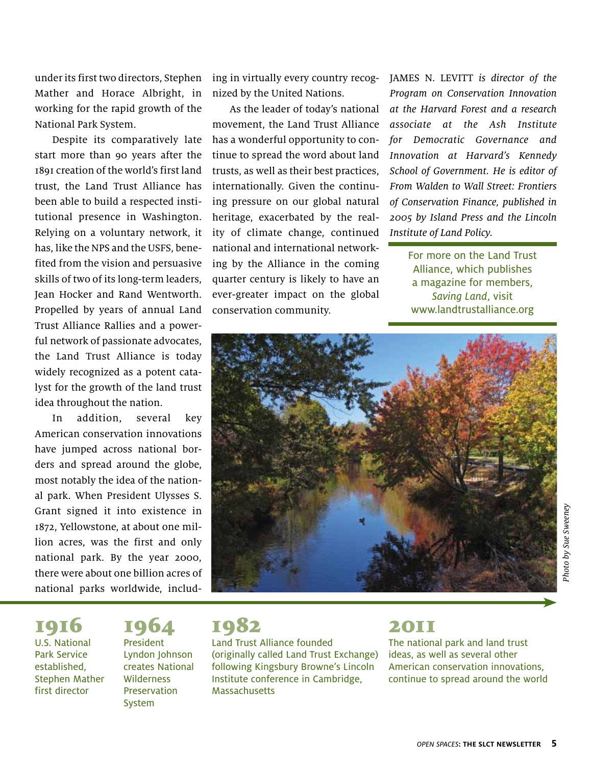under its first two directors, Stephen Mather and Horace Albright, in working for the rapid growth of the National Park System.

Despite its comparatively late start more than 90 years after the 1891 creation of the world's first land trust, the Land Trust Alliance has been able to build a respected institutional presence in Washington. Relying on a voluntary network, it has, like the NPS and the USFS, benefited from the vision and persuasive skills of two of its long-term leaders, Jean Hocker and Rand Wentworth. Propelled by years of annual Land Trust Alliance Rallies and a powerful network of passionate advocates, the Land Trust Alliance is today widely recognized as a potent catalyst for the growth of the land trust idea throughout the nation.

In addition, several key American conservation innovations have jumped across national borders and spread around the globe, most notably the idea of the national park. When President Ulysses S. Grant signed it into existence in 1872, Yellowstone, at about one million acres, was the first and only national park. By the year 2000, there were about one billion acres of national parks worldwide, including in virtually every country recognized by the United Nations.

As the leader of today's national movement, the Land Trust Alliance has a wonderful opportunity to continue to spread the word about land trusts, as well as their best practices, internationally. Given the continuing pressure on our global natural heritage, exacerbated by the reality of climate change, continued national and international networking by the Alliance in the coming quarter century is likely to have an ever-greater impact on the global conservation community.

JAMES N. LEVITT is director of the Program on Conservation Innovation at the Harvard Forest and a research associate at the Ash Institute for Democratic Governance and Innovation at Harvard's Kennedy School of Government. He is editor of From Walden to Wall Street: Frontiers of Conservation Finance, published in 2005 by Island Press and the Lincoln Institute of Land Policy.

For more on the Land Trust Alliance, which publishes a magazine for members, Saving Land, visit www.landtrustalliance.org



#### 1964 President Lyndon Johnson creates National Wilderness Preservation System



Land Trust Alliance founded (originally called Land Trust Exchange) following Kingsbury Browne's Lincoln Institute conference in Cambridge, **Massachusetts** 

### 2011

The national park and land trust ideas, as well as several other American conservation innovations, continue to spread around the world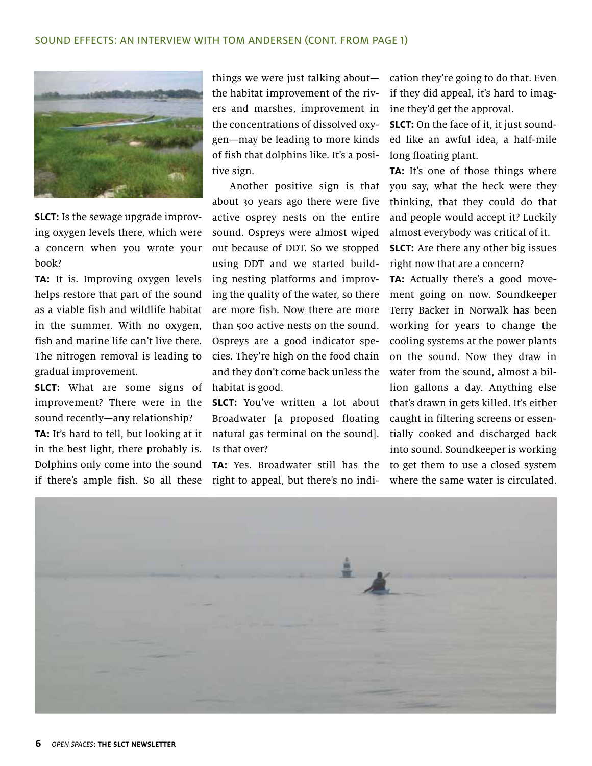

**SLCT:** Is the sewage upgrade improving oxygen levels there, which were a concern when you wrote your book?

**TA:** It is. Improving oxygen levels helps restore that part of the sound as a viable fish and wildlife habitat in the summer. With no oxygen, fish and marine life can't live there. The nitrogen removal is leading to gradual improvement.

**SLCT:** What are some signs of improvement? There were in the sound recently—any relationship? **TA:** It's hard to tell, but looking at it in the best light, there probably is. Dolphins only come into the sound if there's ample fish. So all these

things we were just talking about the habitat improvement of the rivers and marshes, improvement in the concentrations of dissolved oxygen—may be leading to more kinds of fish that dolphins like. It's a positive sign.

Another positive sign is that about 30 years ago there were five active osprey nests on the entire sound. Ospreys were almost wiped out because of DDT. So we stopped using DDT and we started building nesting platforms and improving the quality of the water, so there are more fish. Now there are more than 500 active nests on the sound. Ospreys are a good indicator species. They're high on the food chain and they don't come back unless the habitat is good.

**SLCT:** You've written a lot about Broadwater [a proposed floating natural gas terminal on the sound]. Is that over?

**TA:** Yes. Broadwater still has the right to appeal, but there's no indication they're going to do that. Even if they did appeal, it's hard to imagine they'd get the approval.

**SLCT:** On the face of it, it just sounded like an awful idea, a half-mile long floating plant.

**TA:** It's one of those things where you say, what the heck were they thinking, that they could do that and people would accept it? Luckily almost everybody was critical of it.

**SLCT:** Are there any other big issues right now that are a concern?

**TA:** Actually there's a good movement going on now. Soundkeeper Terry Backer in Norwalk has been working for years to change the cooling systems at the power plants on the sound. Now they draw in water from the sound, almost a billion gallons a day. Anything else that's drawn in gets killed. It's either caught in filtering screens or essentially cooked and discharged back into sound. Soundkeeper is working to get them to use a closed system where the same water is circulated.

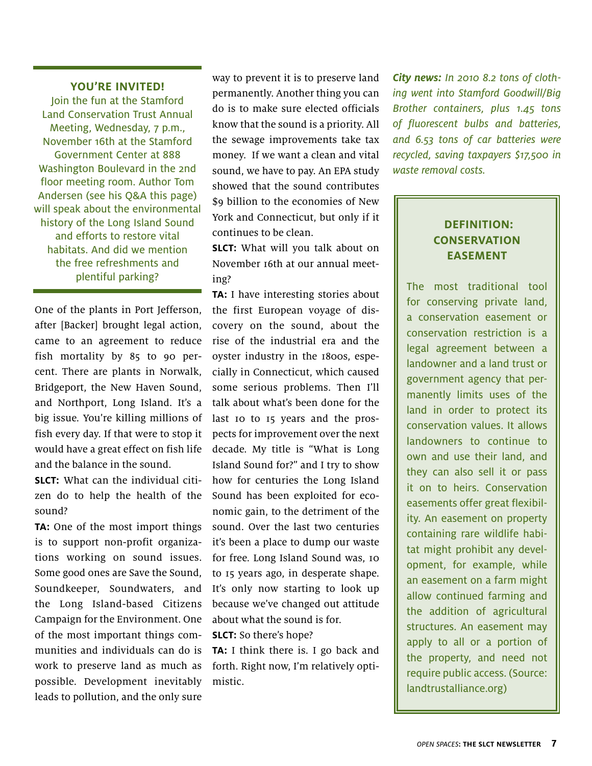#### **You're invited!**

Join the fun at the Stamford Land Conservation Trust Annual Meeting, Wednesday, 7 p.m., November 16th at the Stamford Government Center at 888 Washington Boulevard in the 2nd floor meeting room. Author Tom Andersen (see his Q&A this page) will speak about the environmental history of the Long Island Sound and efforts to restore vital habitats. And did we mention the free refreshments and plentiful parking?

One of the plants in Port Jefferson, after [Backer] brought legal action, came to an agreement to reduce fish mortality by 85 to 90 percent. There are plants in Norwalk, Bridgeport, the New Haven Sound, and Northport, Long Island. It's a big issue. You're killing millions of fish every day. If that were to stop it would have a great effect on fish life and the balance in the sound.

**SLCT:** What can the individual citizen do to help the health of the sound?

**TA:** One of the most import things is to support non-profit organizations working on sound issues. Some good ones are Save the Sound, Soundkeeper, Soundwaters, and the Long Island-based Citizens Campaign for the Environment. One of the most important things communities and individuals can do is work to preserve land as much as possible. Development inevitably leads to pollution, and the only sure

way to prevent it is to preserve land permanently. Another thing you can do is to make sure elected officials know that the sound is a priority. All the sewage improvements take tax money. If we want a clean and vital sound, we have to pay. An EPA study showed that the sound contributes \$9 billion to the economies of New York and Connecticut, but only if it continues to be clean.

**SLCT:** What will you talk about on November 16th at our annual meeting?

**TA:** I have interesting stories about the first European voyage of discovery on the sound, about the rise of the industrial era and the oyster industry in the 1800s, especially in Connecticut, which caused some serious problems. Then I'll talk about what's been done for the last 10 to 15 years and the prospects for improvement over the next decade. My title is "What is Long Island Sound for?" and I try to show how for centuries the Long Island Sound has been exploited for economic gain, to the detriment of the sound. Over the last two centuries it's been a place to dump our waste for free. Long Island Sound was, 10 to 15 years ago, in desperate shape. It's only now starting to look up because we've changed out attitude about what the sound is for.

#### **SLCT:** So there's hope?

**TA:** I think there is. I go back and forth. Right now, I'm relatively optimistic.

**City news:** In 2010 8.2 tons of clothing went into Stamford Goodwill/Big Brother containers, plus 1.45 tons of fluorescent bulbs and batteries, and 6.53 tons of car batteries were recycled, saving taxpayers \$17,500 in waste removal costs.

#### **Definition: Conservation Easement**

The most traditional tool for conserving private land, a conservation easement or conservation restriction is a legal agreement between a landowner and a land trust or government agency that permanently limits uses of the land in order to protect its conservation values. It allows landowners to continue to own and use their land, and they can also sell it or pass it on to heirs. Conservation easements offer great flexibility. An easement on property containing rare wildlife habitat might prohibit any development, for example, while an easement on a farm might allow continued farming and the addition of agricultural structures. An easement may apply to all or a portion of the property, and need not require public access. (Source: landtrustalliance.org)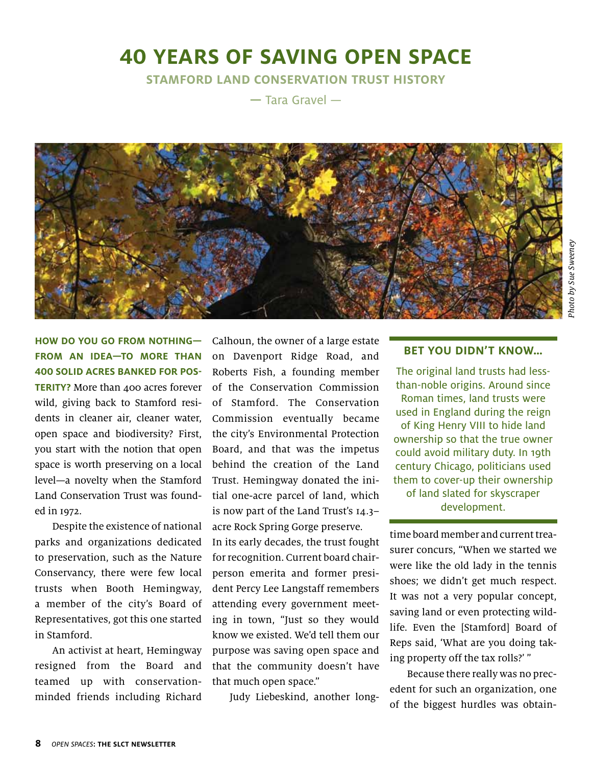## **40 Years of Saving Open Space**

**Stamford Land Conservation Trust History** 

**—** Tara Gravel —



**How do you go from nothing from an idea—to more than 400 solid acres banked for pos-TERITY?** More than 400 acres forever wild, giving back to Stamford residents in cleaner air, cleaner water, open space and biodiversity? First, you start with the notion that open space is worth preserving on a local level—a novelty when the Stamford Land Conservation Trust was founded in 1972.

Despite the existence of national parks and organizations dedicated to preservation, such as the Nature Conservancy, there were few local trusts when Booth Hemingway, a member of the city's Board of Representatives, got this one started in Stamford.

An activist at heart, Hemingway resigned from the Board and teamed up with conservationminded friends including Richard

Calhoun, the owner of a large estate on Davenport Ridge Road, and Roberts Fish, a founding member of the Conservation Commission of Stamford. The Conservation Commission eventually became the city's Environmental Protection Board, and that was the impetus behind the creation of the Land Trust. Hemingway donated the initial one-acre parcel of land, which is now part of the Land Trust's 14.3– acre Rock Spring Gorge preserve.

In its early decades, the trust fought for recognition. Current board chairperson emerita and former president Percy Lee Langstaff remembers attending every government meeting in town, "Just so they would know we existed. We'd tell them our purpose was saving open space and that the community doesn't have that much open space."

Judy Liebeskind, another long-

#### **bet you didn't know…**

The original land trusts had lessthan-noble origins. Around since Roman times, land trusts were used in England during the reign of King Henry VIII to hide land ownership so that the true owner could avoid military duty. In 19th century Chicago, politicians used them to cover-up their ownership of land slated for skyscraper development.

time board member and current treasurer concurs, "When we started we were like the old lady in the tennis shoes; we didn't get much respect. It was not a very popular concept, saving land or even protecting wildlife. Even the [Stamford] Board of Reps said, 'What are you doing taking property off the tax rolls?' "

Because there really was no precedent for such an organization, one of the biggest hurdles was obtain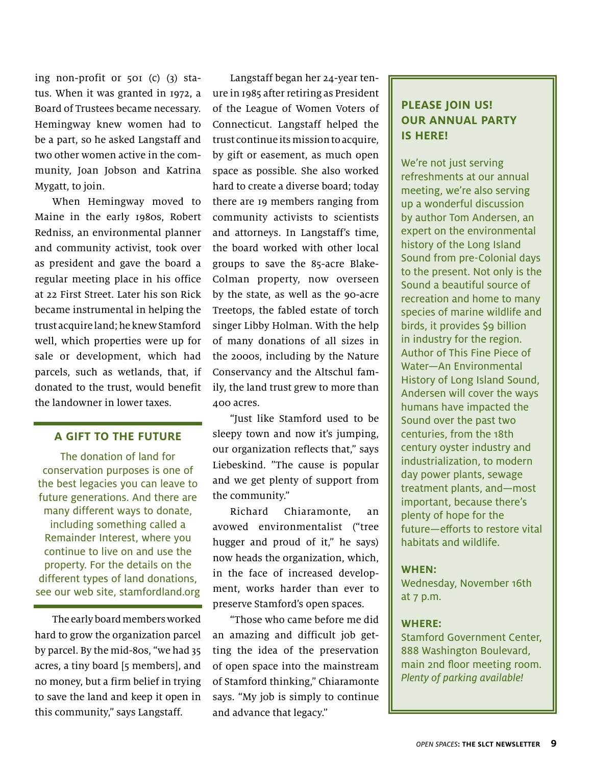ing non-profit or 501 (c) (3) status. When it was granted in 1972, a Board of Trustees became necessary. Hemingway knew women had to be a part, so he asked Langstaff and two other women active in the community, Joan Jobson and Katrina Mygatt, to join.

When Hemingway moved to Maine in the early 1980s, Robert Redniss, an environmental planner and community activist, took over as president and gave the board a regular meeting place in his office at 22 First Street. Later his son Rick became instrumental in helping the trust acquire land; he knew Stamford well, which properties were up for sale or development, which had parcels, such as wetlands, that, if donated to the trust, would benefit the landowner in lower taxes.

#### **a gift to the future**

The donation of land for conservation purposes is one of the best legacies you can leave to future generations. And there are many different ways to donate, including something called a Remainder Interest, where you continue to live on and use the property. For the details on the different types of land donations, see our web site, stamfordland.org

The early board members worked hard to grow the organization parcel by parcel. By the mid-80s, "we had 35 acres, a tiny board [5 members], and no money, but a firm belief in trying to save the land and keep it open in this community," says Langstaff.

Langstaff began her 24-year tenure in 1985 after retiring as President of the League of Women Voters of Connecticut. Langstaff helped the trust continue its mission to acquire, by gift or easement, as much open space as possible. She also worked hard to create a diverse board; today there are 19 members ranging from community activists to scientists and attorneys. In Langstaff's time, the board worked with other local groups to save the 85-acre Blake-Colman property, now overseen by the state, as well as the 90-acre Treetops, the fabled estate of torch singer Libby Holman. With the help of many donations of all sizes in the 2000s, including by the Nature Conservancy and the Altschul family, the land trust grew to more than 400 acres.

"Just like Stamford used to be sleepy town and now it's jumping, our organization reflects that," says Liebeskind. "The cause is popular and we get plenty of support from the community."

Richard Chiaramonte, an avowed environmentalist ("tree hugger and proud of it," he says) now heads the organization, which, in the face of increased development, works harder than ever to preserve Stamford's open spaces.

"Those who came before me did an amazing and difficult job getting the idea of the preservation of open space into the mainstream of Stamford thinking," Chiaramonte says. "My job is simply to continue and advance that legacy."

#### **please join us! our annual party is here!**

We're not just serving refreshments at our annual meeting, we're also serving up a wonderful discussion by author Tom Andersen, an expert on the environmental history of the Long Island Sound from pre-Colonial days to the present. Not only is the Sound a beautiful source of recreation and home to many species of marine wildlife and birds, it provides \$9 billion in industry for the region. Author of This Fine Piece of Water—An Environmental History of Long Island Sound, Andersen will cover the ways humans have impacted the Sound over the past two centuries, from the 18th century oyster industry and industrialization, to modern day power plants, sewage treatment plants, and—most important, because there's plenty of hope for the future—efforts to restore vital habitats and wildlife.

#### **When:**

Wednesday, November 16th at 7 p.m.

#### **Where:**

Stamford Government Center, 888 Washington Boulevard, main 2nd floor meeting room. Plenty of parking available!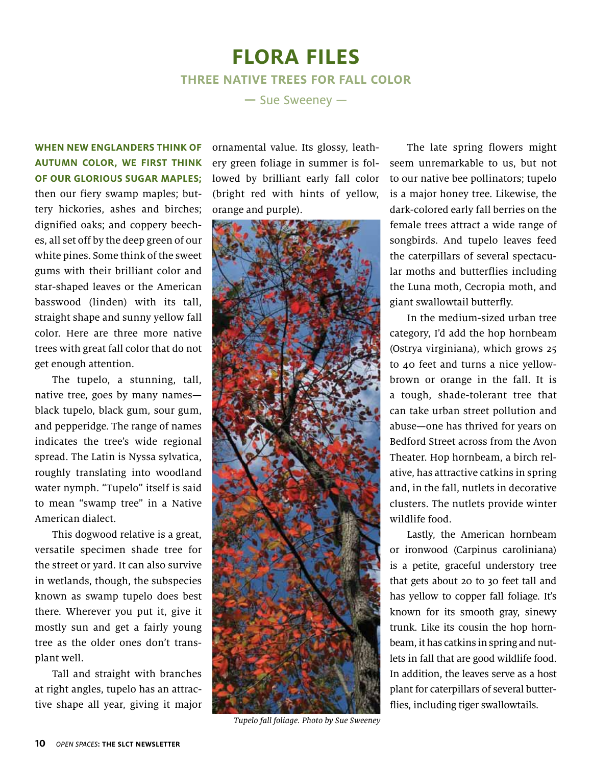## **flora files three native trees for fall color**

**—** Sue Sweeney —

**When New Englanders think of autumn color, we first think of our glorious sugar maples;** then our fiery swamp maples; buttery hickories, ashes and birches; dignified oaks; and coppery beeches, all set off by the deep green of our white pines. Some think of the sweet gums with their brilliant color and star-shaped leaves or the American basswood (linden) with its tall, straight shape and sunny yellow fall color. Here are three more native trees with great fall color that do not get enough attention.

The tupelo, a stunning, tall, native tree, goes by many names black tupelo, black gum, sour gum, and pepperidge. The range of names indicates the tree's wide regional spread. The Latin is Nyssa sylvatica, roughly translating into woodland water nymph. "Tupelo" itself is said to mean "swamp tree" in a Native American dialect.

This dogwood relative is a great, versatile specimen shade tree for the street or yard. It can also survive in wetlands, though, the subspecies known as swamp tupelo does best there. Wherever you put it, give it mostly sun and get a fairly young tree as the older ones don't transplant well.

Tall and straight with branches at right angles, tupelo has an attractive shape all year, giving it major ornamental value. Its glossy, leathery green foliage in summer is followed by brilliant early fall color (bright red with hints of yellow, orange and purple).



Tupelo fall foliage. Photo by Sue Sweeney

The late spring flowers might seem unremarkable to us, but not to our native bee pollinators; tupelo is a major honey tree. Likewise, the dark-colored early fall berries on the female trees attract a wide range of songbirds. And tupelo leaves feed the caterpillars of several spectacular moths and butterflies including the Luna moth, Cecropia moth, and giant swallowtail butterfly.

In the medium-sized urban tree category, I'd add the hop hornbeam (Ostrya virginiana), which grows 25 to 40 feet and turns a nice yellowbrown or orange in the fall. It is a tough, shade-tolerant tree that can take urban street pollution and abuse—one has thrived for years on Bedford Street across from the Avon Theater. Hop hornbeam, a birch relative, has attractive catkins in spring and, in the fall, nutlets in decorative clusters. The nutlets provide winter wildlife food.

Lastly, the American hornbeam or ironwood (Carpinus caroliniana) is a petite, graceful understory tree that gets about 20 to 30 feet tall and has yellow to copper fall foliage. It's known for its smooth gray, sinewy trunk. Like its cousin the hop hornbeam, it has catkins in spring and nutlets in fall that are good wildlife food. In addition, the leaves serve as a host plant for caterpillars of several butterflies, including tiger swallowtails.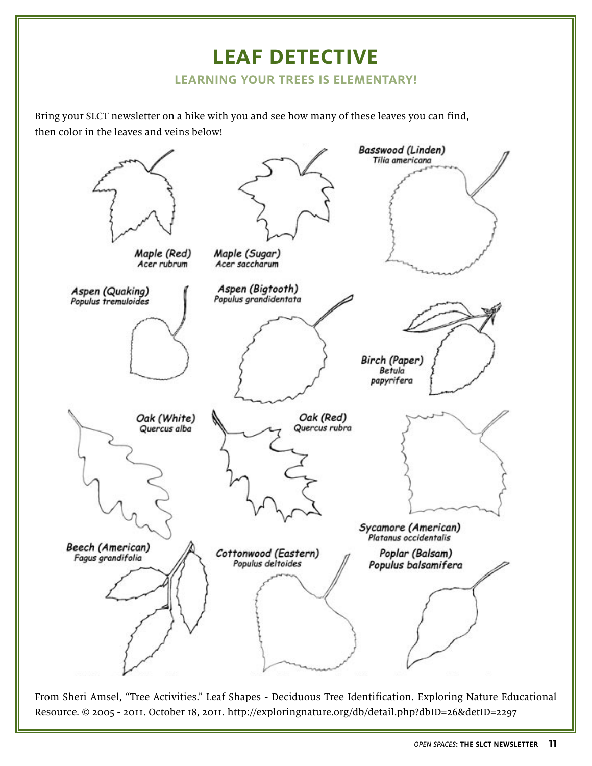## **leaf detective**

#### **learning your trees is elementary!**

Bring your SLCT newsletter on a hike with you and see how many of these leaves you can find, then color in the leaves and veins below!



From Sheri Amsel, "Tree Activities." Leaf Shapes - Deciduous Tree Identification. Exploring Nature Educational Resource. © 2005 - 2011. October 18, 2011. http://exploringnature.org/db/detail.php?dbID=26&detID=2297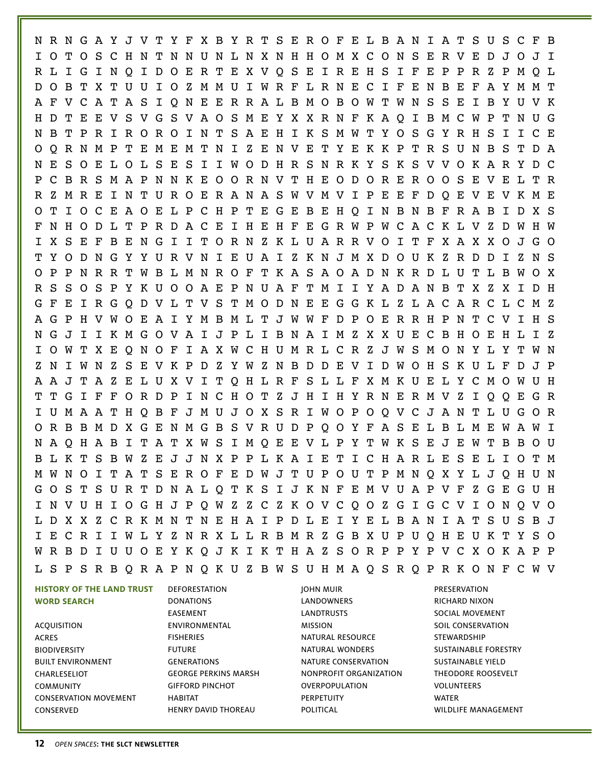N R N G A Y J V T Y F X B Y R T S E R O F E L B A N I A T S U S C F B I O T O S C H N T N N U N L N X N H H O M X C O N S E R V E D J O J I R L I G I N Q I D O E R T E X V Q S E I R E H S I F E P P R Z P M Q L D O B T X T U U I O Z M M U I W R F L R N E C I F E N B E F A Y M M T A F V C A T A S I Q N E E R R A L B M O B O W T W N S S E I B Y U V K H D T E E V S V G S V A O S M E Y X X R N F K A Q I B M C W P T N U G N B T P R I R O R O I N T S A E H I K S M W T Y O S G Y R H S I I C E O Q R N M P T E M E M T N I Z E N V E T Y E K K P T R S U N B S T D A N E S O E L O L S E S I I W O D H R S N R K Y S K S V V O K A R Y D C P C B R S M A P N N K E O O R N V T H E O D O R E R O O S E V E L T R R Z M R E I N T U R O E R A N A S W V M V I P E E F D Q E V E V K M E O T I O C E A O E L P C H P T E G E B E H Q I N B N B F R A B I D X S F N H O D L T P R D A C E I H E H F E G R W P W C A C K L V Z D W H W I X S E F B E N G I I T O R N Z K L U A R R V O I T F X A X X O J G O T Y O D N G Y Y U R V N I E U A I Z K N J M X D O U K Z R D D I Z N S O P P N R R T W B L M N R O F T K A S A O A D N K R D L U T L B W O X R S S O S P Y K U O O A E P N U A F T M I I Y A D A N B T X Z X I D H G F E I R G Q D V L T V S T M O D N E E G G K L Z L A C A R C L C M Z A G P H V W O E A I Y M B M L T J W W F D P O E R R H P N T C V I H S N G J I I K M G O V A I J P L I B N A I M Z X X U E C B H O E H L I Z I O W T X E Q N O F I A X W C H U M R L C R Z J W S M O N Y L Y T W N Z N I W N Z S E V K P D Z Y W Z N B D D E V I D W O H S K U L F D J P A A J T A Z E L U X V I T Q H L R F S L L F X M K U E L Y C M O W U H T T G I F F O R D P I N C H O T Z J H I H Y R N E R M V Z I Q Q E G R I U M A A T H Q B F J M U J O X S R I W O P O Q V C J A N T L U G O R O R B B M D X G E N M G B S V R U D P Q O Y F A S E L B L M E W A W I N A Q H A B I T A T X W S I M Q E E V L P Y T W K S E J E W T B B O U B L K T S B W Z E J J N X P P L K A I E T I C H A R L E S E L I O T M M W N O I T A T S E R O F E D W J T U P O U T P M N Q X Y L J Q H U N G O S T S U R T D N A L Q T K S I J K N F E M V U A P V F Z G E G U H I N V U H I O G H J P Q W Z Z C Z K O V C Q O Z G I G C V I O N Q V O L D X X Z C R K M N T N E H A I P D L E I Y E L B A N I A T S U S B J I E C R I I W L Y Z N R X L L R B M R Z G B X U P U Q H E U K T Y S O W R B D I U U O E Y K Q J K I K T H A Z S O R P P Y P V C X O K A P P L S P S R B Q R A P N Q K U Z B W S U H M A Q S R Q P R K O N F C W V

**WORD SEARCH** ACQUISITION ACRES BIODIVERSITY BUILT ENVIRONMENT CHARLESELIOT COMMUNITY CONSERVATION MOVEMENT CONSERVED

**HISTORY OF THE LAND TRUST**

DEFORESTATION DONATIONS EASEMENT ENVIRONMENTAL FISHERIES FUTURE GENERATIONS GEORGE PERKINS MARSH GIFFORD PINCHOT HABITAT HENRY DAVID THOREAU

JOHN MUIR LANDOWNERS LANDTRUSTS MISSION NATURAL RESOURCE NATURAL WONDERS NATURE CONSERVATION NONPROFIT ORGANIZATION OVERPOPULATION **PERPETUITY** POLITICAL

PRESERVATION RICHARD NIXON SOCIAL MOVEMENT SOIL CONSERVATION STEWARDSHIP SUSTAINABLE FORESTRY SUSTAINABLE YIELD THEODORE ROOSEVELT VOLUNTEERS WATER WILDLIFE MANAGEMENT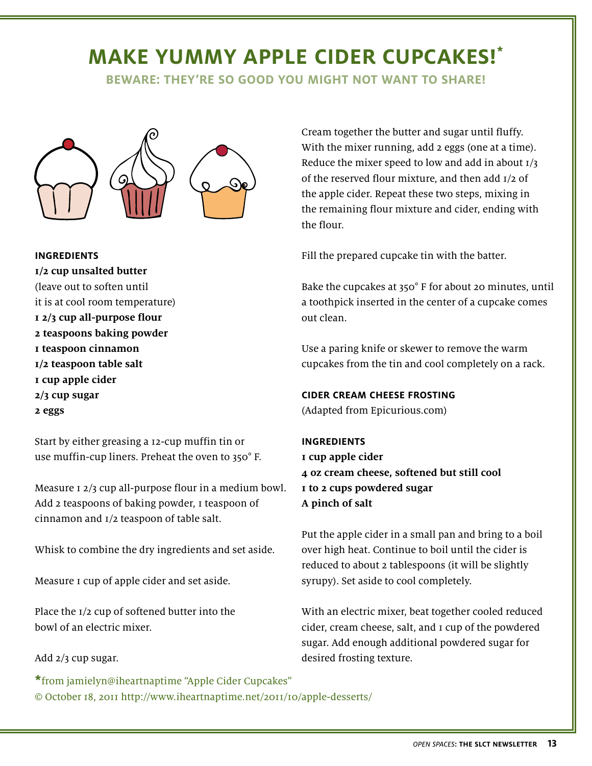## **make yummy apple cider cupcakes! \***

**beware: they're so good you might not want to sharE!** 



#### **Ingredients**

**1/2 cup unsalted butter**  (leave out to soften until it is at cool room temperature) **1 2/3 cup all-purpose flour 2 teaspoons baking powder 1 teaspoon cinnamon 1/2 teaspoon table salt 1 cup apple cider 2/3 cup sugar 2 eggs**

Start by either greasing a 12-cup muffin tin or use muffin-cup liners. Preheat the oven to 350° F.

Measure 1 2/3 cup all-purpose flour in a medium bowl. Add 2 teaspoons of baking powder, I teaspoon of cinnamon and 1/2 teaspoon of table salt.

Whisk to combine the dry ingredients and set aside.

Measure 1 cup of apple cider and set aside.

Place the 1/2 cup of softened butter into the bowl of an electric mixer.

Add 2/3 cup sugar.

**\***from jamielyn@iheartnaptime "Apple Cider Cupcakes" © October 18, 2011 http://www.iheartnaptime.net/2011/10/apple-desserts/

Cream together the butter and sugar until fluffy. With the mixer running, add 2 eggs (one at a time). Reduce the mixer speed to low and add in about  $I/3$ of the reserved flour mixture, and then add 1/2 of the apple cider. Repeat these two steps, mixing in the remaining flour mixture and cider, ending with the flour.

Fill the prepared cupcake tin with the batter.

Bake the cupcakes at 350° F for about 20 minutes, until a toothpick inserted in the center of a cupcake comes out clean.

Use a paring knife or skewer to remove the warm cupcakes from the tin and cool completely on a rack.

#### **Cider Cream Cheese Frosting**

(Adapted from Epicurious.com)

#### **Ingredients**

**1 cup apple cider 4 oz cream cheese, softened but still cool 1 to 2 cups powdered sugar A pinch of salt**

Put the apple cider in a small pan and bring to a boil over high heat. Continue to boil until the cider is reduced to about 2 tablespoons (it will be slightly syrupy). Set aside to cool completely.

With an electric mixer, beat together cooled reduced cider, cream cheese, salt, and 1 cup of the powdered sugar. Add enough additional powdered sugar for desired frosting texture.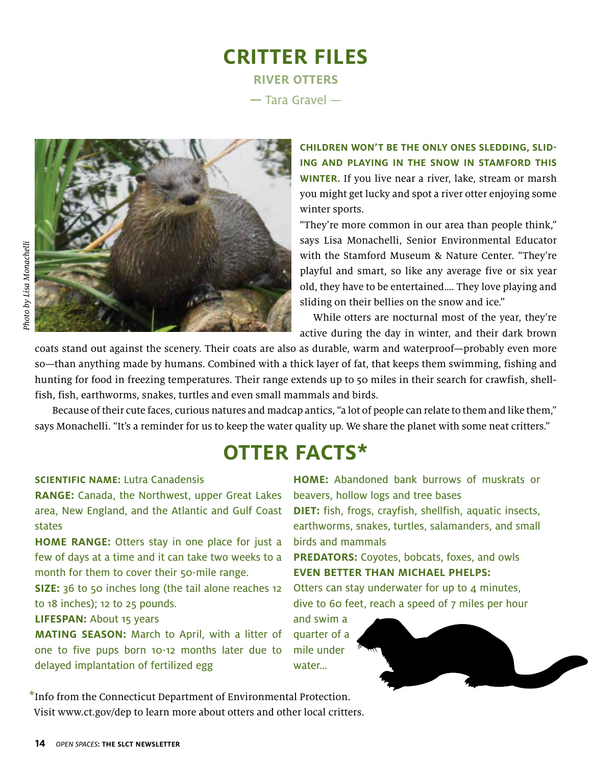## **critter files river otters**

**—** Tara Gravel —



**Children won't be the only ones sledding, sliding and playing in the snow in Stamford this WINTER.** If you live near a river, lake, stream or marsh you might get lucky and spot a river otter enjoying some winter sports.

"They're more common in our area than people think," says Lisa Monachelli, Senior Environmental Educator with the Stamford Museum & Nature Center. "They're playful and smart, so like any average five or six year old, they have to be entertained…. They love playing and sliding on their bellies on the snow and ice."

While otters are nocturnal most of the year, they're active during the day in winter, and their dark brown

coats stand out against the scenery. Their coats are also as durable, warm and waterproof—probably even more so—than anything made by humans. Combined with a thick layer of fat, that keeps them swimming, fishing and hunting for food in freezing temperatures. Their range extends up to 50 miles in their search for crawfish, shellfish, fish, earthworms, snakes, turtles and even small mammals and birds.

Because of their cute faces, curious natures and madcap antics, "a lot of people can relate to them and like them," says Monachelli. "It's a reminder for us to keep the water quality up. We share the planet with some neat critters."

## **otter facts\***

#### **Scientific name:** Lutra Canadensis

**Range:** Canada, the Northwest, upper Great Lakes area, New England, and the Atlantic and Gulf Coast states

**HOME RANGE:** Otters stay in one place for just a few of days at a time and it can take two weeks to a month for them to cover their 50-mile range.

**SIZE:** 36 to 50 inches long (the tail alone reaches 12 to 18 inches); 12 to 25 pounds.

#### **Lifespan:** About 15 years

**Mating season:** March to April, with a litter of one to five pups born 10-12 months later due to delayed implantation of fertilized egg

\*Info from the Connecticut Department of Environmental Protection. Visit www.ct.gov/dep to learn more about otters and other local critters.

**Home:** Abandoned bank burrows of muskrats or beavers, hollow logs and tree bases **Diet:** fish, frogs, crayfish, shellfish, aquatic insects, earthworms, snakes, turtles, salamanders, and small birds and mammals

**PREDATORS:** Coyotes, bobcats, foxes, and owls **Even better than Michael Phelps:**

Otters can stay underwater for up to  $4$  minutes, dive to 60 feet, reach a speed of 7 miles per hour

and swim a quarter of a mile under water…

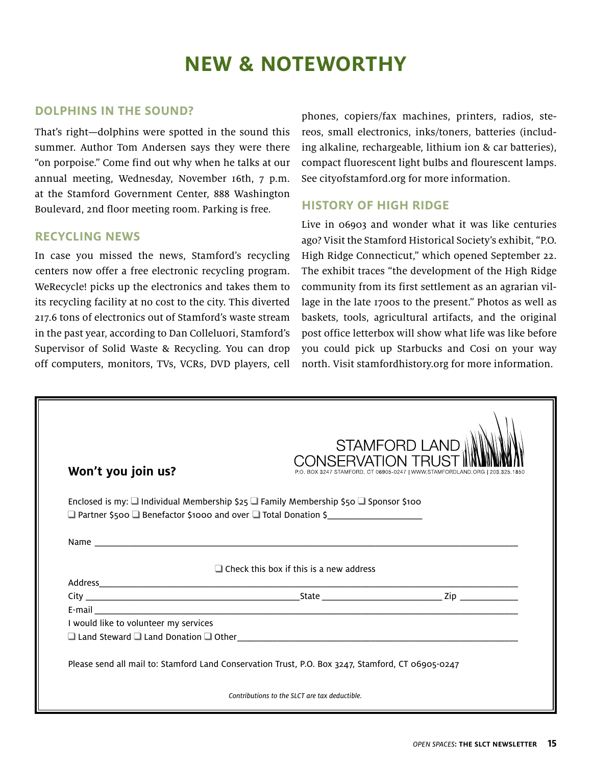## **new & noteworthy**

#### **Dolphins in the sound?**

That's right—dolphins were spotted in the sound this summer. Author Tom Andersen says they were there "on porpoise." Come find out why when he talks at our annual meeting, Wednesday, November 16th, 7 p.m. at the Stamford Government Center, 888 Washington Boulevard, 2nd floor meeting room. Parking is free.

#### **Recycling news**

In case you missed the news, Stamford's recycling centers now offer a free electronic recycling program. WeRecycle! picks up the electronics and takes them to its recycling facility at no cost to the city. This diverted 217.6 tons of electronics out of Stamford's waste stream in the past year, according to Dan Colleluori, Stamford's Supervisor of Solid Waste & Recycling. You can drop off computers, monitors, TVs, VCRs, DVD players, cell

phones, copiers/fax machines, printers, radios, stereos, small electronics, inks/toners, batteries (including alkaline, rechargeable, lithium ion & car batteries), compact fluorescent light bulbs and flourescent lamps. See cityofstamford.org for more information.

#### **History of High Ridge**

Live in 06903 and wonder what it was like centuries ago? Visit the Stamford Historical Society's exhibit, "P.O. High Ridge Connecticut," which opened September 22. The exhibit traces "the development of the High Ridge community from its first settlement as an agrarian village in the late 1700s to the present." Photos as well as baskets, tools, agricultural artifacts, and the original post office letterbox will show what life was like before you could pick up Starbucks and Cosi on your way north. Visit stamfordhistory.org for more information.

| Won't you join us?                    | <b>STAMFORD LAND III</b><br>CONSERVATION 1<br>BOX 3247 STAMFORD, CT 06905-0247   WWW STAMFORDLAND ORG   203 325                                                                                                                    |
|---------------------------------------|------------------------------------------------------------------------------------------------------------------------------------------------------------------------------------------------------------------------------------|
|                                       | Enclosed is my: $\Box$ Individual Membership \$25 $\Box$ Family Membership \$50 $\Box$ Sponsor \$100                                                                                                                               |
|                                       |                                                                                                                                                                                                                                    |
|                                       |                                                                                                                                                                                                                                    |
|                                       | $\Box$ Check this box if this is a new address                                                                                                                                                                                     |
|                                       |                                                                                                                                                                                                                                    |
|                                       |                                                                                                                                                                                                                                    |
| I would like to volunteer my services |                                                                                                                                                                                                                                    |
|                                       | $\Box$ Land Steward $\Box$ Land Donation $\Box$ Other example that the state of the state of the state of the state of the state of the state of the state of the state of the state of the state of the state of the state of the |
|                                       |                                                                                                                                                                                                                                    |
|                                       | Please send all mail to: Stamford Land Conservation Trust, P.O. Box 3247, Stamford, CT 06905-0247                                                                                                                                  |